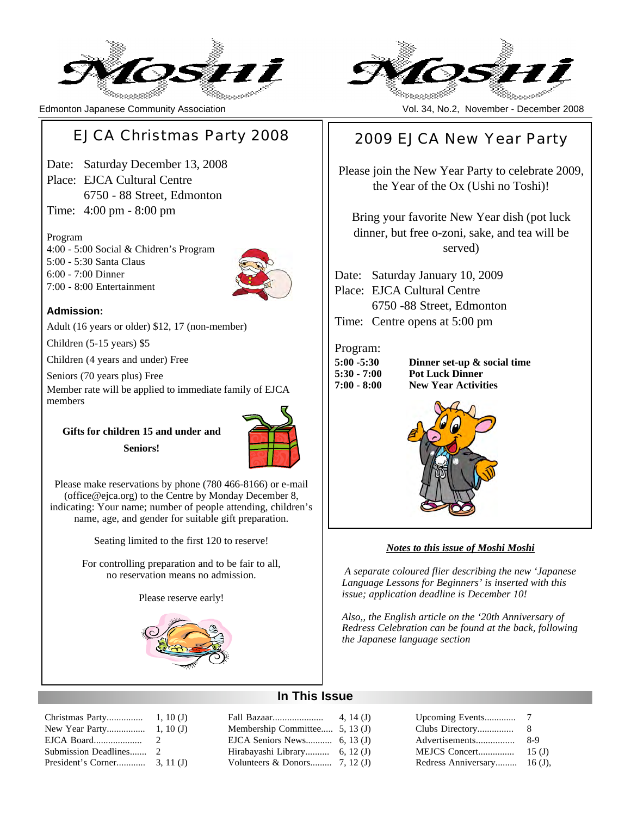

# EJCA Christmas Party 2008

Date: Saturday December 13, 2008 Place: EJCA Cultural Centre 6750 - 88 Street, Edmonton Time: 4:00 pm - 8:00 pm

#### Program

4:00 - 5:00 Social & Chidren's Program 5:00 - 5:30 Santa Claus 6:00 - 7:00 Dinner 7:00 - 8:00 Entertainment



#### **Admission:**

Adult (16 years or older) \$12, 17 (non-member)

Children (5-15 years) \$5

Children (4 years and under) Free

Seniors (70 years plus) Free

Member rate will be applied to immediate family of EJCA members

**Gifts for children 15 and under and Seniors!**



Please make reservations by phone (780 466-8166) or e-mail (office@ejca.org) to the Centre by Monday December 8, indicating: Your name; number of people attending, children's name, age, and gender for suitable gift preparation.

Seating limited to the first 120 to reserve!

For controlling preparation and to be fair to all, no reservation means no admission.

Please reserve early!



| Christmas Party        | 1, 10(J)      |
|------------------------|---------------|
| New Year Party         | 1, 10(J)      |
| EJCA Board             | $\mathcal{L}$ |
| Submission Deadlines 2 |               |
|                        |               |



Edmonton Japanese Community Association Vol. 34, No.2, November - December 2008

# 2009 EJCA New Year Party

Please join the New Year Party to celebrate 2009, the Year of the Ox (Ushi no Toshi)!

Bring your favorite New Year dish (pot luck dinner, but free o-zoni, sake, and tea will be served)

Date: Saturday January 10, 2009 Place: EJCA Cultural Centre 6750 -88 Street, Edmonton Time: Centre opens at 5:00 pm

#### Program:

| 5:00 -5:30  |  |
|-------------|--|
| 5:30 - 7:00 |  |
| 7:00 - 8:00 |  |

**Dinner set-up & social time Pot Luck Dinner New Year Activities** 



#### *Notes to this issue of Moshi Moshi*

*A separate coloured flier describing the new 'Japanese Language Lessons for Beginners' is inserted with this issue; application deadline is December 10!*

*Also,, the English article on the '20th Anniversary of Redress Celebration can be found at the back, following the Japanese language section*

# **In This Issue**

|                                | Upcomin        |
|--------------------------------|----------------|
| Membership Committee 5, 13 (J) | Clubs Di       |
|                                | Advertise      |
| Hirabayashi Library 6, 12 (J)  | <b>MEJCS 0</b> |
|                                | Redress /      |
|                                |                |

| Upcoming Events     |           |
|---------------------|-----------|
| Clubs Directory     | 8         |
| Advertisements      | $8-9$     |
| MEJCS Concert       | 15(J)     |
| Redress Anniversary | $16(J)$ , |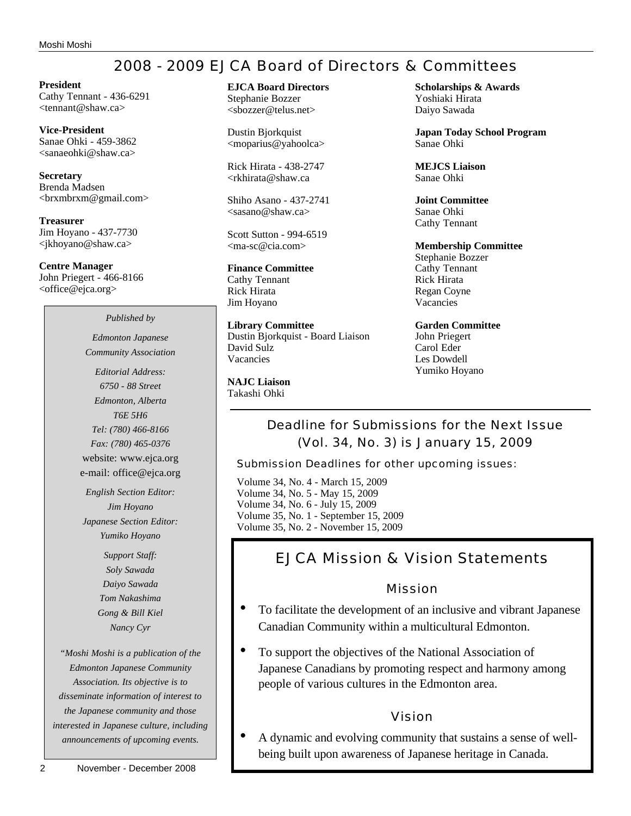# 2008 - 2009 EJCA Board of Directors & Committees

**President** Cathy Tennant - 436-6291 <tennant@shaw.ca>

**Vice-President** Sanae Ohki - 459-3862 <sanaeohki@shaw.ca>

**Secretary** Brenda Madsen <brxmbrxm@gmail.com>

**Treasurer** Jim Hoyano - 437-7730 <jkhoyano@shaw.ca>

**Centre Manager** John Priegert - 466-8166 <office@ejca.org>

#### *Published by*

*Edmonton Japanese Community Association*

*Editorial Address: 6750 - 88 Street Edmonton, Alberta T6E 5H6 Tel: (780) 466-8166 Fax: (780) 465-0376* website: www.ejca.org e-mail: office@ejca.org

*English Section Editor: Jim Hoyano Japanese Section Editor: Yumiko Hoyano*

> *Support Staff: Soly Sawada Daiyo Sawada Tom Nakashima Gong & Bill Kiel Nancy Cyr*

*"Moshi Moshi is a publication of the Edmonton Japanese Community Association. Its objective is to disseminate information of interest to the Japanese community and those interested in Japanese culture, including announcements of upcoming events.*

# **EJCA Board Directors**

Stephanie Bozzer <sbozzer@telus.net>

Dustin Bjorkquist <moparius@yahoolca>

Rick Hirata - 438-2747 <rkhirata@shaw.ca

Shiho Asano - 437-2741  $<$ sasano@shaw.ca $>$ 

Scott Sutton - 994-6519 <ma-sc@cia.com>

# **Finance Committee**

Cathy Tennant Rick Hirata Jim Hoyano

**Library Committee** Dustin Bjorkquist - Board Liaison David Sulz Vacancies

**NAJC Liaison** Takashi Ohki

**Scholarships & Awards** Yoshiaki Hirata Daiyo Sawada

**Japan Today School Program** Sanae Ohki

**MEJCS Liaison** Sanae Ohki

**Joint Committee** Sanae Ohki Cathy Tennant

#### **Membership Committee** Stephanie Bozzer

Cathy Tennant Rick Hirata Regan Coyne Vacancies

**Garden Committee** John Priegert Carol Eder Les Dowdell Yumiko Hoyano

Deadline for Submissions for the Next Issue (Vol. 34, No. 3) is January 15, 2009

Submission Deadlines for other upcoming issues:

Volume 34, No. 4 - March 15, 2009 Volume 34, No. 5 - May 15, 2009 Volume 34, No. 6 - July 15, 2009 Volume 35, No. 1 - September 15, 2009 Volume 35, No. 2 - November 15, 2009

# EJCA Mission & Vision Statements

## Mission

- To facilitate the development of an inclusive and vibrant Japanese Canadian Community within a multicultural Edmonton.
- To support the objectives of the National Association of Japanese Canadians by promoting respect and harmony among people of various cultures in the Edmonton area.

# Vision

• A dynamic and evolving community that sustains a sense of wellbeing built upon awareness of Japanese heritage in Canada.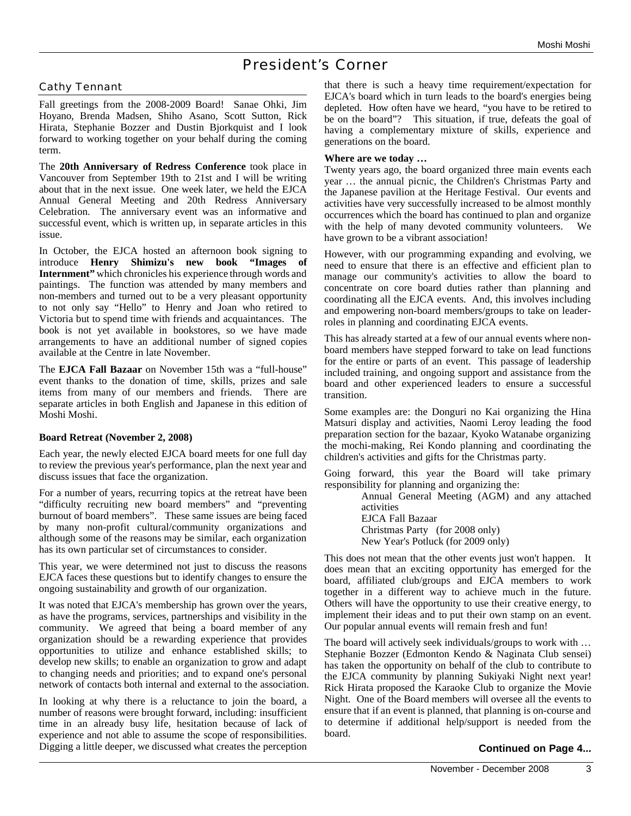# President's Corner

#### Cathy Tennant

Fall greetings from the 2008-2009 Board! Sanae Ohki, Jim Hoyano, Brenda Madsen, Shiho Asano, Scott Sutton, Rick Hirata, Stephanie Bozzer and Dustin Bjorkquist and I look forward to working together on your behalf during the coming term.

The **20th Anniversary of Redress Conference** took place in Vancouver from September 19th to 21st and I will be writing about that in the next issue. One week later, we held the EJCA Annual General Meeting and 20th Redress Anniversary Celebration. The anniversary event was an informative and successful event, which is written up, in separate articles in this issue.

In October, the EJCA hosted an afternoon book signing to introduce **Henry Shimizu's new book "Images of Internment"** which chronicles his experience through words and paintings. The function was attended by many members and non-members and turned out to be a very pleasant opportunity to not only say "Hello" to Henry and Joan who retired to Victoria but to spend time with friends and acquaintances. The book is not yet available in bookstores, so we have made arrangements to have an additional number of signed copies available at the Centre in late November.

The **EJCA Fall Bazaar** on November 15th was a "full-house" event thanks to the donation of time, skills, prizes and sale items from many of our members and friends. There are separate articles in both English and Japanese in this edition of Moshi Moshi.

#### **Board Retreat (November 2, 2008)**

Each year, the newly elected EJCA board meets for one full day to review the previous year's performance, plan the next year and discuss issues that face the organization.

For a number of years, recurring topics at the retreat have been "difficulty recruiting new board members" and "preventing burnout of board members". These same issues are being faced by many non-profit cultural/community organizations and although some of the reasons may be similar, each organization has its own particular set of circumstances to consider.

This year, we were determined not just to discuss the reasons EJCA faces these questions but to identify changes to ensure the ongoing sustainability and growth of our organization.

It was noted that EJCA's membership has grown over the years, as have the programs, services, partnerships and visibility in the community. We agreed that being a board member of any organization should be a rewarding experience that provides opportunities to utilize and enhance established skills; to develop new skills; to enable an organization to grow and adapt to changing needs and priorities; and to expand one's personal network of contacts both internal and external to the association.

In looking at why there is a reluctance to join the board, a number of reasons were brought forward, including: insufficient time in an already busy life, hesitation because of lack of experience and not able to assume the scope of responsibilities. Digging a little deeper, we discussed what creates the perception

that there is such a heavy time requirement/expectation for EJCA's board which in turn leads to the board's energies being depleted. How often have we heard, "you have to be retired to be on the board"? This situation, if true, defeats the goal of having a complementary mixture of skills, experience and generations on the board.

#### **Where are we today …**

Twenty years ago, the board organized three main events each year … the annual picnic, the Children's Christmas Party and the Japanese pavilion at the Heritage Festival. Our events and activities have very successfully increased to be almost monthly occurrences which the board has continued to plan and organize with the help of many devoted community volunteers. We have grown to be a vibrant association!

However, with our programming expanding and evolving, we need to ensure that there is an effective and efficient plan to manage our community's activities to allow the board to concentrate on core board duties rather than planning and coordinating all the EJCA events. And, this involves including and empowering non-board members/groups to take on leaderroles in planning and coordinating EJCA events.

This has already started at a few of our annual events where nonboard members have stepped forward to take on lead functions for the entire or parts of an event. This passage of leadership included training, and ongoing support and assistance from the board and other experienced leaders to ensure a successful transition.

Some examples are: the Donguri no Kai organizing the Hina Matsuri display and activities, Naomi Leroy leading the food preparation section for the bazaar, Kyoko Watanabe organizing the mochi-making, Rei Kondo planning and coordinating the children's activities and gifts for the Christmas party.

Going forward, this year the Board will take primary responsibility for planning and organizing the:

> Annual General Meeting (AGM) and any attached activities

EJCA Fall Bazaar Christmas Party (for 2008 only) New Year's Potluck (for 2009 only)

This does not mean that the other events just won't happen. It does mean that an exciting opportunity has emerged for the board, affiliated club/groups and EJCA members to work together in a different way to achieve much in the future. Others will have the opportunity to use their creative energy, to implement their ideas and to put their own stamp on an event. Our popular annual events will remain fresh and fun!

The board will actively seek individuals/groups to work with … Stephanie Bozzer (Edmonton Kendo & Naginata Club sensei) has taken the opportunity on behalf of the club to contribute to the EJCA community by planning Sukiyaki Night next year! Rick Hirata proposed the Karaoke Club to organize the Movie Night. One of the Board members will oversee all the events to ensure that if an event is planned, that planning is on-course and to determine if additional help/support is needed from the board.

#### **Continued on Page 4...**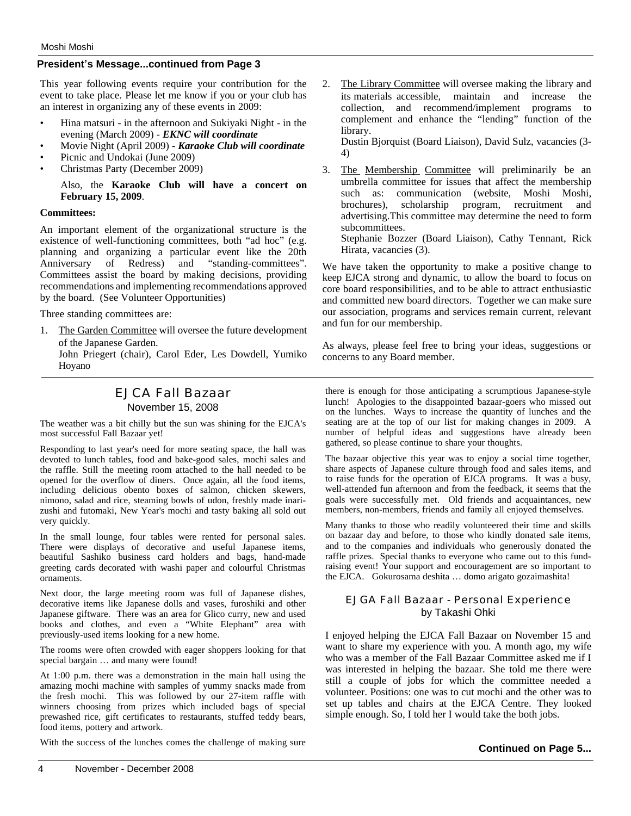#### **President's Message...continued from Page 3**

This year following events require your contribution for the event to take place. Please let me know if you or your club has an interest in organizing any of these events in 2009:

- Hina matsuri in the afternoon and Sukiyaki Night in the evening (March 2009) - *EKNC will coordinate*
- Movie Night (April 2009) *Karaoke Club will coordinate*
- Picnic and Undokai (June 2009)
- Christmas Party (December 2009)

Also, the **Karaoke Club will have a concert on February 15, 2009**.

#### **Committees:**

An important element of the organizational structure is the existence of well-functioning committees, both "ad hoc" (e.g. planning and organizing a particular event like the 20th Anniversary of Redress) and "standing-committees". Committees assist the board by making decisions, providing recommendations and implementing recommendations approved by the board. (See Volunteer Opportunities)

Three standing committees are:

1. The Garden Committee will oversee the future development of the Japanese Garden.

John Priegert (chair), Carol Eder, Les Dowdell, Yumiko Hoyano

## EJCA Fall Bazaar November 15, 2008

The weather was a bit chilly but the sun was shining for the EJCA's most successful Fall Bazaar yet!

Responding to last year's need for more seating space, the hall was devoted to lunch tables, food and bake-good sales, mochi sales and the raffle. Still the meeting room attached to the hall needed to be opened for the overflow of diners. Once again, all the food items, including delicious obento boxes of salmon, chicken skewers, nimono, salad and rice, steaming bowls of udon, freshly made inarizushi and futomaki, New Year's mochi and tasty baking all sold out very quickly.

In the small lounge, four tables were rented for personal sales. There were displays of decorative and useful Japanese items, beautiful Sashiko business card holders and bags, hand-made greeting cards decorated with washi paper and colourful Christmas ornaments.

Next door, the large meeting room was full of Japanese dishes, decorative items like Japanese dolls and vases, furoshiki and other Japanese giftware. There was an area for Glico curry, new and used books and clothes, and even a "White Elephant" area with previously-used items looking for a new home.

The rooms were often crowded with eager shoppers looking for that special bargain … and many were found!

At 1:00 p.m. there was a demonstration in the main hall using the amazing mochi machine with samples of yummy snacks made from the fresh mochi. This was followed by our 27-item raffle with winners choosing from prizes which included bags of special prewashed rice, gift certificates to restaurants, stuffed teddy bears, food items, pottery and artwork.

With the success of the lunches comes the challenge of making sure

2. The Library Committee will oversee making the library and its materials accessible, maintain and increase the collection, and recommend/implement programs to complement and enhance the "lending" function of the library.

Dustin Bjorquist (Board Liaison), David Sulz, vacancies (3- 4)

3. The Membership Committee will preliminarily be an umbrella committee for issues that affect the membership such as: communication (website, Moshi Moshi, brochures), scholarship program, recruitment and advertising.This committee may determine the need to form subcommittees. Stephanie Bozzer (Board Liaison), Cathy Tennant, Rick

Hirata, vacancies (3).

We have taken the opportunity to make a positive change to keep EJCA strong and dynamic, to allow the board to focus on core board responsibilities, and to be able to attract enthusiastic and committed new board directors. Together we can make sure our association, programs and services remain current, relevant and fun for our membership.

As always, please feel free to bring your ideas, suggestions or concerns to any Board member.

there is enough for those anticipating a scrumptious Japanese-style lunch! Apologies to the disappointed bazaar-goers who missed out on the lunches. Ways to increase the quantity of lunches and the seating are at the top of our list for making changes in 2009. A number of helpful ideas and suggestions have already been gathered, so please continue to share your thoughts.

The bazaar objective this year was to enjoy a social time together, share aspects of Japanese culture through food and sales items, and to raise funds for the operation of EJCA programs. It was a busy, well-attended fun afternoon and from the feedback, it seems that the goals were successfully met. Old friends and acquaintances, new members, non-members, friends and family all enjoyed themselves.

Many thanks to those who readily volunteered their time and skills on bazaar day and before, to those who kindly donated sale items, and to the companies and individuals who generously donated the raffle prizes. Special thanks to everyone who came out to this fundraising event! Your support and encouragement are so important to the EJCA. Gokurosama deshita … domo arigato gozaimashita!

#### EJGA Fall Bazaar - Personal Experience by Takashi Ohki

I enjoyed helping the EJCA Fall Bazaar on November 15 and want to share my experience with you. A month ago, my wife who was a member of the Fall Bazaar Committee asked me if I was interested in helping the bazaar. She told me there were still a couple of jobs for which the committee needed a volunteer. Positions: one was to cut mochi and the other was to set up tables and chairs at the EJCA Centre. They looked simple enough. So, I told her I would take the both jobs.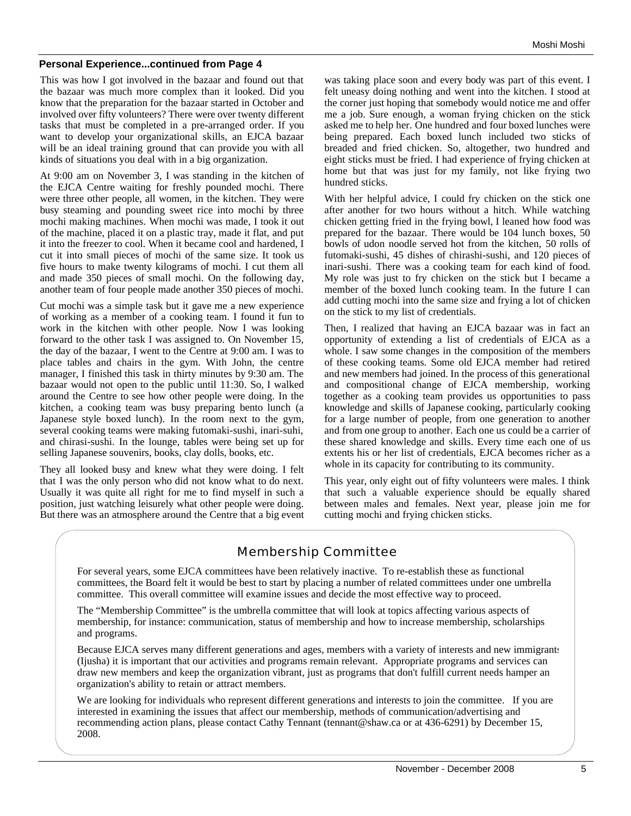#### **Personal Experience...continued from Page 4**

This was how I got involved in the bazaar and found out that the bazaar was much more complex than it looked. Did you know that the preparation for the bazaar started in October and involved over fifty volunteers? There were over twenty different tasks that must be completed in a pre-arranged order. If you want to develop your organizational skills, an EJCA bazaar will be an ideal training ground that can provide you with all kinds of situations you deal with in a big organization.

At 9:00 am on November 3, I was standing in the kitchen of the EJCA Centre waiting for freshly pounded mochi. There were three other people, all women, in the kitchen. They were busy steaming and pounding sweet rice into mochi by three mochi making machines. When mochi was made, I took it out of the machine, placed it on a plastic tray, made it flat, and put it into the freezer to cool. When it became cool and hardened, I cut it into small pieces of mochi of the same size. It took us five hours to make twenty kilograms of mochi. I cut them all and made 350 pieces of small mochi. On the following day, another team of four people made another 350 pieces of mochi.

Cut mochi was a simple task but it gave me a new experience of working as a member of a cooking team. I found it fun to work in the kitchen with other people. Now I was looking forward to the other task I was assigned to. On November 15, the day of the bazaar, I went to the Centre at 9:00 am. I was to place tables and chairs in the gym. With John, the centre manager, I finished this task in thirty minutes by 9:30 am. The bazaar would not open to the public until 11:30. So, I walked around the Centre to see how other people were doing. In the kitchen, a cooking team was busy preparing bento lunch (a Japanese style boxed lunch). In the room next to the gym, several cooking teams were making futomaki-sushi, inari-suhi, and chirasi-sushi. In the lounge, tables were being set up for selling Japanese souvenirs, books, clay dolls, books, etc.

They all looked busy and knew what they were doing. I felt that I was the only person who did not know what to do next. Usually it was quite all right for me to find myself in such a position, just watching leisurely what other people were doing. But there was an atmosphere around the Centre that a big event was taking place soon and every body was part of this event. I felt uneasy doing nothing and went into the kitchen. I stood at the corner just hoping that somebody would notice me and offer me a job. Sure enough, a woman frying chicken on the stick asked me to help her. One hundred and four boxed lunches were being prepared. Each boxed lunch included two sticks of breaded and fried chicken. So, altogether, two hundred and eight sticks must be fried. I had experience of frying chicken at home but that was just for my family, not like frying two hundred sticks.

With her helpful advice, I could fry chicken on the stick one after another for two hours without a hitch. While watching chicken getting fried in the frying bowl, I leaned how food was prepared for the bazaar. There would be 104 lunch boxes, 50 bowls of udon noodle served hot from the kitchen, 50 rolls of futomaki-sushi, 45 dishes of chirashi-sushi, and 120 pieces of inari-sushi. There was a cooking team for each kind of food. My role was just to fry chicken on the stick but I became a member of the boxed lunch cooking team. In the future I can add cutting mochi into the same size and frying a lot of chicken on the stick to my list of credentials.

Then, I realized that having an EJCA bazaar was in fact an opportunity of extending a list of credentials of EJCA as a whole. I saw some changes in the composition of the members of these cooking teams. Some old EJCA member had retired and new members had joined. In the process of this generational and compositional change of EJCA membership, working together as a cooking team provides us opportunities to pass knowledge and skills of Japanese cooking, particularly cooking for a large number of people, from one generation to another and from one group to another. Each one us could be a carrier of these shared knowledge and skills. Every time each one of us extents his or her list of credentials, EJCA becomes richer as a whole in its capacity for contributing to its community.

This year, only eight out of fifty volunteers were males. I think that such a valuable experience should be equally shared between males and females. Next year, please join me for cutting mochi and frying chicken sticks.

# Membership Committee

For several years, some EJCA committees have been relatively inactive. To re-establish these as functional committees, the Board felt it would be best to start by placing a number of related committees under one umbrella committee. This overall committee will examine issues and decide the most effective way to proceed.

The "Membership Committee" is the umbrella committee that will look at topics affecting various aspects of membership, for instance: communication, status of membership and how to increase membership, scholarships and programs.

Because EJCA serves many different generations and ages, members with a variety of interests and new immigrants (Ijusha) it is important that our activities and programs remain relevant. Appropriate programs and services can draw new members and keep the organization vibrant, just as programs that don't fulfill current needs hamper an organization's ability to retain or attract members.

We are looking for individuals who represent different generations and interests to join the committee. If you are interested in examining the issues that affect our membership, methods of communication/advertising and recommending action plans, please contact Cathy Tennant (tennant@shaw.ca or at 436-6291) by December 15, 2008.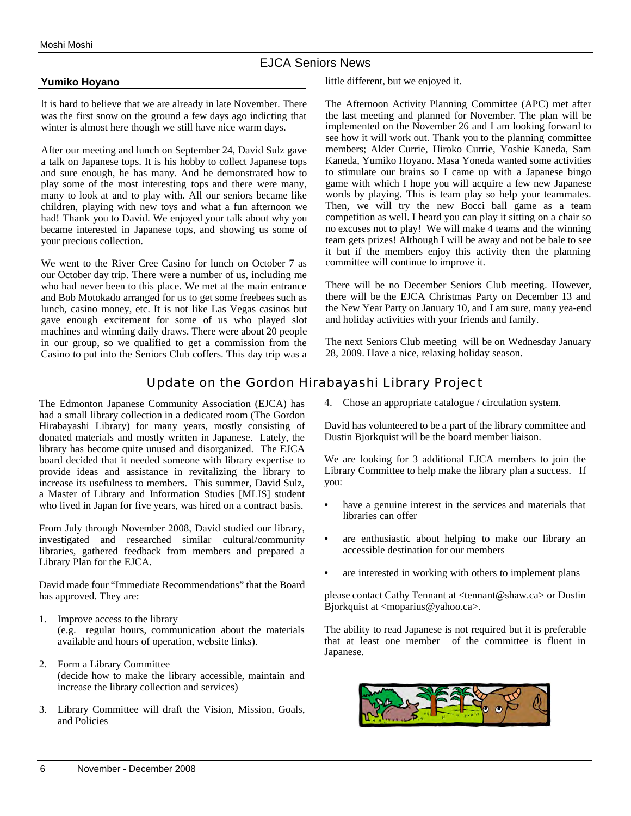### EJCA Seniors News

#### **Yumiko Hoyano**

It is hard to believe that we are already in late November. There was the first snow on the ground a few days ago indicting that winter is almost here though we still have nice warm days.

After our meeting and lunch on September 24, David Sulz gave a talk on Japanese tops. It is his hobby to collect Japanese tops and sure enough, he has many. And he demonstrated how to play some of the most interesting tops and there were many, many to look at and to play with. All our seniors became like children, playing with new toys and what a fun afternoon we had! Thank you to David. We enjoyed your talk about why you became interested in Japanese tops, and showing us some of your precious collection.

We went to the River Cree Casino for lunch on October 7 as our October day trip. There were a number of us, including me who had never been to this place. We met at the main entrance and Bob Motokado arranged for us to get some freebees such as lunch, casino money, etc. It is not like Las Vegas casinos but gave enough excitement for some of us who played slot machines and winning daily draws. There were about 20 people in our group, so we qualified to get a commission from the Casino to put into the Seniors Club coffers. This day trip was a

little different, but we enjoyed it.

The Afternoon Activity Planning Committee (APC) met after the last meeting and planned for November. The plan will be implemented on the November 26 and I am looking forward to see how it will work out. Thank you to the planning committee members; Alder Currie, Hiroko Currie, Yoshie Kaneda, Sam Kaneda, Yumiko Hoyano. Masa Yoneda wanted some activities to stimulate our brains so I came up with a Japanese bingo game with which I hope you will acquire a few new Japanese words by playing. This is team play so help your teammates. Then, we will try the new Bocci ball game as a team competition as well. I heard you can play it sitting on a chair so no excuses not to play! We will make 4 teams and the winning team gets prizes! Although I will be away and not be bale to see it but if the members enjoy this activity then the planning committee will continue to improve it.

There will be no December Seniors Club meeting. However, there will be the EJCA Christmas Party on December 13 and the New Year Party on January 10, and I am sure, many yea-end and holiday activities with your friends and family.

The next Seniors Club meeting will be on Wednesday January 28, 2009. Have a nice, relaxing holiday season.

# Update on the Gordon Hirabayashi Library Project

The Edmonton Japanese Community Association (EJCA) has had a small library collection in a dedicated room (The Gordon Hirabayashi Library) for many years, mostly consisting of donated materials and mostly written in Japanese. Lately, the library has become quite unused and disorganized. The EJCA board decided that it needed someone with library expertise to provide ideas and assistance in revitalizing the library to increase its usefulness to members. This summer, David Sulz, a Master of Library and Information Studies [MLIS] student who lived in Japan for five years, was hired on a contract basis.

From July through November 2008, David studied our library, investigated and researched similar cultural/community libraries, gathered feedback from members and prepared a Library Plan for the EJCA.

David made four "Immediate Recommendations" that the Board has approved. They are:

- 1. Improve access to the library (e.g. regular hours, communication about the materials available and hours of operation, website links).
- 2. Form a Library Committee (decide how to make the library accessible, maintain and increase the library collection and services)
- 3. Library Committee will draft the Vision, Mission, Goals, and Policies

4. Chose an appropriate catalogue / circulation system.

David has volunteered to be a part of the library committee and Dustin Bjorkquist will be the board member liaison.

We are looking for 3 additional EJCA members to join the Library Committee to help make the library plan a success. If you:

- have a genuine interest in the services and materials that libraries can offer
- are enthusiastic about helping to make our library an accessible destination for our members
- are interested in working with others to implement plans

please contact Cathy Tennant at <tennant@shaw.ca> or Dustin Bjorkquist at <moparius@yahoo.ca>.

The ability to read Japanese is not required but it is preferable that at least one member of the committee is fluent in Japanese.

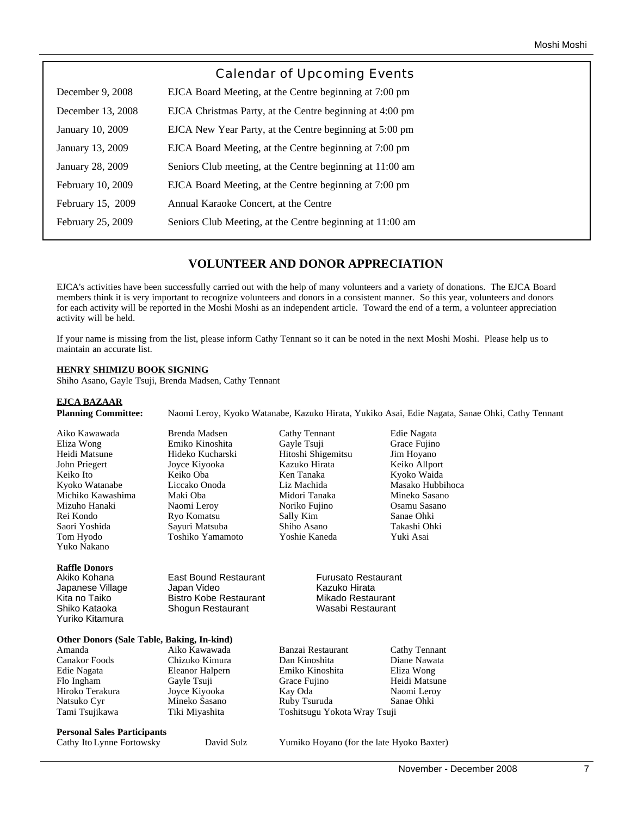|                   | <b>Calendar of Upcoming Events</b>                        |
|-------------------|-----------------------------------------------------------|
| December 9, 2008  | EJCA Board Meeting, at the Centre beginning at 7:00 pm    |
| December 13, 2008 | EJCA Christmas Party, at the Centre beginning at 4:00 pm  |
| January 10, 2009  | EJCA New Year Party, at the Centre beginning at 5:00 pm   |
| January 13, 2009  | EJCA Board Meeting, at the Centre beginning at 7:00 pm    |
| January 28, 2009  | Seniors Club meeting, at the Centre beginning at 11:00 am |
| February 10, 2009 | EJCA Board Meeting, at the Centre beginning at 7:00 pm    |
| February 15, 2009 | Annual Karaoke Concert, at the Centre                     |
| February 25, 2009 | Seniors Club Meeting, at the Centre beginning at 11:00 am |
|                   |                                                           |

# **VOLUNTEER AND DONOR APPRECIATION**

EJCA's activities have been successfully carried out with the help of many volunteers and a variety of donations. The EJCA Board members think it is very important to recognize volunteers and donors in a consistent manner. So this year, volunteers and donors for each activity will be reported in the Moshi Moshi as an independent article. Toward the end of a term, a volunteer appreciation activity will be held.

If your name is missing from the list, please inform Cathy Tennant so it can be noted in the next Moshi Moshi. Please help us to maintain an accurate list.

#### **HENRY SHIMIZU BOOK SIGNING**

Shiho Asano, Gayle Tsuji, Brenda Madsen, Cathy Tennant

| <b>EJCA BAZAAR</b><br><b>Planning Committee:</b>  |                               |                                           | Naomi Leroy, Kyoko Watanabe, Kazuko Hirata, Yukiko Asai, Edie Nagata, Sanae Ohki, Cathy Tennant |  |  |
|---------------------------------------------------|-------------------------------|-------------------------------------------|-------------------------------------------------------------------------------------------------|--|--|
| Aiko Kawawada                                     | Brenda Madsen                 | Cathy Tennant                             | Edie Nagata                                                                                     |  |  |
| Eliza Wong                                        | Emiko Kinoshita               | Gayle Tsuji                               | Grace Fujino                                                                                    |  |  |
| Heidi Matsune                                     | Hideko Kucharski              | Hitoshi Shigemitsu                        | Jim Hoyano                                                                                      |  |  |
| John Priegert                                     | Joyce Kiyooka                 | Kazuko Hirata                             | Keiko Allport                                                                                   |  |  |
| Keiko Ito                                         | Keiko Oba                     | Ken Tanaka                                | Kyoko Waida                                                                                     |  |  |
| Kyoko Watanabe                                    | Liccako Onoda                 | Liz Machida                               | Masako Hubbihoca                                                                                |  |  |
| Michiko Kawashima                                 | Maki Oba                      | Midori Tanaka                             | Mineko Sasano                                                                                   |  |  |
| Mizuho Hanaki                                     | Naomi Leroy                   | Noriko Fujino                             | Osamu Sasano                                                                                    |  |  |
| Rei Kondo                                         | Ryo Komatsu                   | Sally Kim                                 | Sanae Ohki                                                                                      |  |  |
| Saori Yoshida                                     | Sayuri Matsuba                | Shiho Asano                               | Takashi Ohki                                                                                    |  |  |
| Tom Hyodo                                         | Toshiko Yamamoto              | Yoshie Kaneda                             | Yuki Asai                                                                                       |  |  |
| Yuko Nakano                                       |                               |                                           |                                                                                                 |  |  |
| <b>Raffle Donors</b>                              |                               |                                           |                                                                                                 |  |  |
| Akiko Kohana                                      | <b>East Bound Restaurant</b>  | <b>Furusato Restaurant</b>                |                                                                                                 |  |  |
| Japanese Village                                  | Japan Video                   | Kazuko Hirata                             |                                                                                                 |  |  |
| Kita no Taiko                                     | <b>Bistro Kobe Restaurant</b> | Mikado Restaurant                         |                                                                                                 |  |  |
| Shiko Kataoka                                     | Shogun Restaurant             | Wasabi Restaurant                         |                                                                                                 |  |  |
| Yuriko Kitamura                                   |                               |                                           |                                                                                                 |  |  |
| <b>Other Donors (Sale Table, Baking, In-kind)</b> |                               |                                           |                                                                                                 |  |  |
| Amanda                                            | Aiko Kawawada                 | Banzai Restaurant                         | Cathy Tennant                                                                                   |  |  |
| Canakor Foods                                     | Chizuko Kimura                | Dan Kinoshita                             | Diane Nawata                                                                                    |  |  |
| Edie Nagata                                       | Eleanor Halpern               | Emiko Kinoshita                           | Eliza Wong                                                                                      |  |  |
| Flo Ingham                                        | Gayle Tsuji                   | Grace Fujino                              | Heidi Matsune                                                                                   |  |  |
| Hiroko Terakura                                   | Joyce Kiyooka                 | Kay Oda                                   | Naomi Leroy                                                                                     |  |  |
| Natsuko Cyr                                       | Mineko Sasano                 | Ruby Tsuruda                              | Sanae Ohki                                                                                      |  |  |
| Tami Tsujikawa                                    | Tiki Miyashita                | Toshitsugu Yokota Wray Tsuji              |                                                                                                 |  |  |
| <b>Personal Sales Participants</b>                |                               |                                           |                                                                                                 |  |  |
| Cathy Ito Lynne Fortowsky                         | David Sulz                    | Yumiko Hoyano (for the late Hyoko Baxter) |                                                                                                 |  |  |
|                                                   |                               |                                           |                                                                                                 |  |  |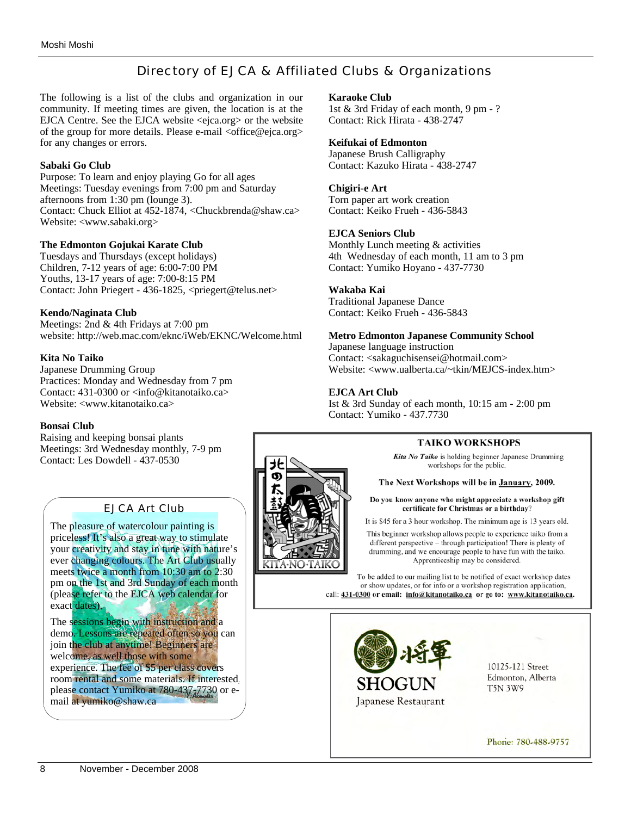# Directory of EJCA & Affiliated Clubs & Organizations

The following is a list of the clubs and organization in our community. If meeting times are given, the location is at the EJCA Centre. See the EJCA website <ejca.org> or the website of the group for more details. Please e-mail <office@ejca.org> for any changes or errors.

#### **Sabaki Go Club**

Purpose: To learn and enjoy playing Go for all ages Meetings: Tuesday evenings from 7:00 pm and Saturday afternoons from 1:30 pm (lounge 3). Contact: Chuck Elliot at 452-1874, <Chuckbrenda@shaw.ca> Website: <www.sabaki.org>

#### **The Edmonton Gojukai Karate Club**

Tuesdays and Thursdays (except holidays) Children, 7-12 years of age: 6:00-7:00 PM Youths, 13-17 years of age: 7:00-8:15 PM Contact: John Priegert - 436-1825, <priegert@telus.net>

#### **Kendo/Naginata Club**

Meetings: 2nd & 4th Fridays at 7:00 pm website: http://web.mac.com/eknc/iWeb/EKNC/Welcome.html

#### **Kita No Taiko**

Japanese Drumming Group Practices: Monday and Wednesday from 7 pm Contact: 431-0300 or <info@kitanotaiko.ca> Website: <www.kitanotaiko.ca>

#### **Bonsai Club**

Raising and keeping bonsai plants Meetings: 3rd Wednesday monthly, 7-9 pm Contact: Les Dowdell - 437-0530

#### EJCA Art Club

The pleasure of watercolour painting is priceless! It's also a great way to stimulate your creativity and stay in tune with nature's ever changing colours. The Art Club usually meets twice a month from 10:30 am to 2:30 pm on the 1st and 3rd Sunday of each month (please refer to the EJCA web calendar for exact dates).

The sessions begin with instruction and a demo. Lessons are repeated often so you can join the club at anytime! Beginners are welcome, as well those with some experience. The fee of \$5 per class covers room rental and some materials. If interested, please contact Yumiko at 780-437,7730 or email at yumiko@shaw.ca

#### **Karaoke Club**

1st & 3rd Friday of each month, 9 pm - ? Contact: Rick Hirata - 438-2747

#### **Keifukai of Edmonton**

Japanese Brush Calligraphy Contact: Kazuko Hirata - 438-2747

#### **Chigiri-e Art**

Torn paper art work creation Contact: Keiko Frueh - 436-5843

#### **EJCA Seniors Club**

Monthly Lunch meeting & activities 4th Wednesday of each month, 11 am to 3 pm Contact: Yumiko Hoyano - 437-7730

#### **Wakaba Kai**

Traditional Japanese Dance Contact: Keiko Frueh - 436-5843

#### **Metro Edmonton Japanese Community School**

Japanese language instruction Contact: <sakaguchisensei@hotmail.com> Website: <www.ualberta.ca/~tkin/MEJCS-index.htm>

#### **EJCA Art Club**

Ist & 3rd Sunday of each month, 10:15 am - 2:00 pm Contact: Yumiko - 437.7730

#### **TAIKO WORKSHOPS**

Kita No Taiko is holding beginner Japanese Drumming workshops for the public.

#### The Next Workshops will be in January, 2009.

Do you know anyone who might appreciate a workshop gift certificate for Christmas or a birthday?

It is \$45 for a 3 hour workshop. The minimum age is 13 years old.

This beginner workshop allows people to experience taiko from a different perspective  $-$  through participation! There is plenty of drumming, and we encourage people to have fun with the taiko. Apprenticeship may be considered.

To be added to our mailing list to be notified of exact workshop dates or show updates, or for info or a workshop registration application, call: 431-0300 or email: info@kitanotaiko.ca or go to: www.kitanotaiko.ca.



10125-121 Street Edmonton, Alberta **T5N 3W9** 

Phone: 780-488-9757

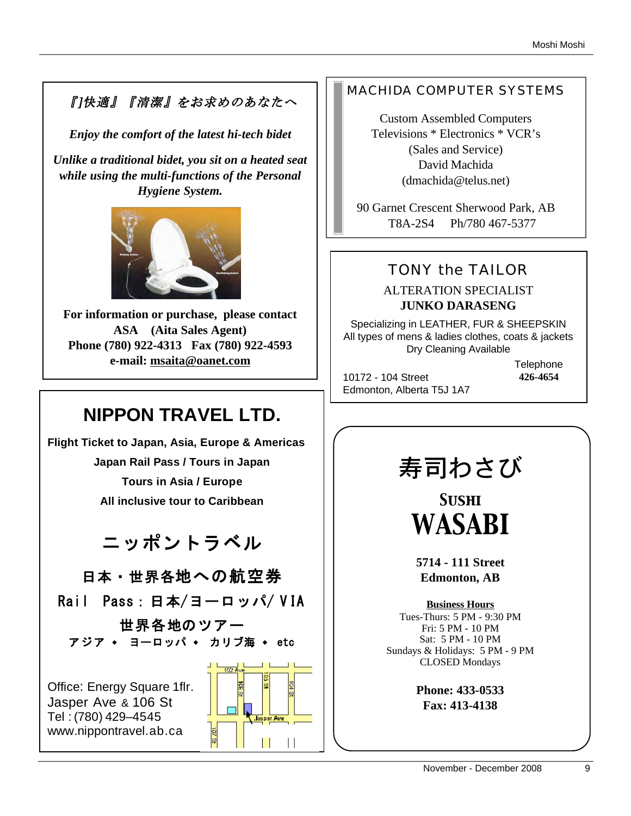# 『]快適』『清潔』をお求めのあなたへ

*Enjoy the comfort of the latest hi-tech bidet*

*Unlike a traditional bidet, you sit on a heated seat while using the multi-functions of the Personal Hygiene System.* 



**For information or purchase, please contact ASA (Aita Sales Agent) Phone (780) 922-4313 Fax (780) 922-4593 e-mail: msaita@oanet.com**

# **NIPPON TRAVEL LTD.**

**Flight Ticket to Japan, Asia, Europe & Americas Japan Rail Pass / Tours in Japan Tours in Asia / Europe All inclusive tour to Caribbean** 

ニッポントラベル

日本・世界各地への航空券

Rail Pass: 日本/ヨーロッパ/ VIA

世界各地のツアー アジア ◆ ヨーロッパ ◆ カリブ海 ◆ etc

Office: Energy Square 1flr. Jasper Ave & 106 St Tel : (780) 429–4545 www.nippontravel.ab.ca



# MACHIDA COMPUTER SYSTEMS

Custom Assembled Computers Televisions \* Electronics \* VCR's (Sales and Service) David Machida (dmachida@telus.net)

90 Garnet Crescent Sherwood Park, AB T8A-2S4 Ph/780 467-5377

# TONY the TAILOR

# ALTERATION SPECIALIST **JUNKO DARASENG**

Specializing in LEATHER, FUR & SHEEPSKIN All types of mens & ladies clothes, coats & jackets Dry Cleaning Available

10172 - 104 Street Edmonton, Alberta T5J 1A7 **Telephone 426-4654**

# 寿司わさび

*Sushi WASABI*

**5714 - 111 Street Edmonton, AB**

**Business Hours** Tues-Thurs: 5 PM - 9:30 PM Fri: 5 PM - 10 PM Sat: 5 PM - 10 PM Sundays & Holidays: 5 PM - 9 PM CLOSED Mondays

> **Phone: 433-0533 Fax: 413-4138**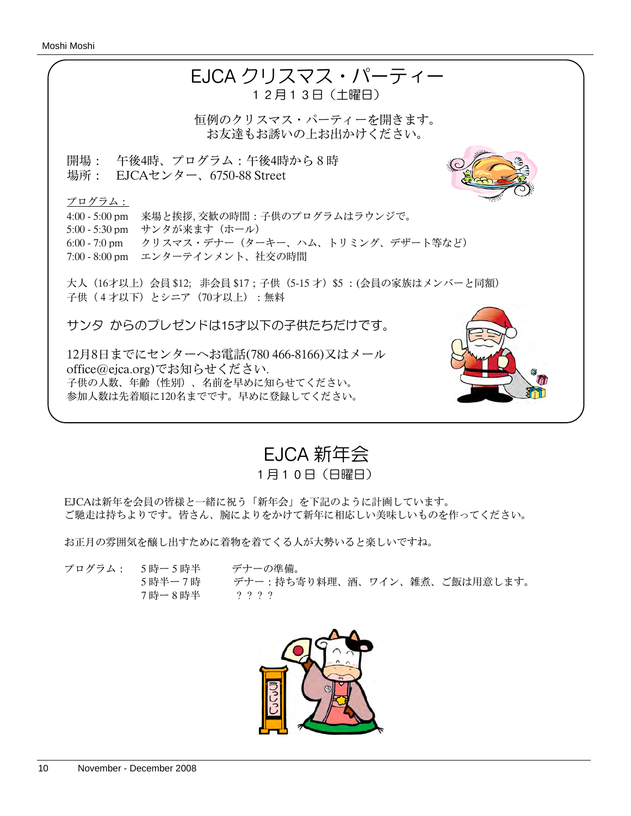

EJCA 新年会

1月10日(日曜日)

EJCAは新年を会員の皆様と一緒に祝う「新年会」を下記のように計画しています。 ご馳走は持ちよりです。皆さん、腕によりをかけて新年に相応しい美味しいものを作ってください。

お正月の雰囲気を醸し出すために着物を着てくる人が大勢いると楽しいですね。

プログラム: 5時ー5時半 デナーの準備。 5時半ー7時 デナー:持ち寄り料理、酒、ワイン、雑煮、ご飯は用意します。 7時ー8時半 ????

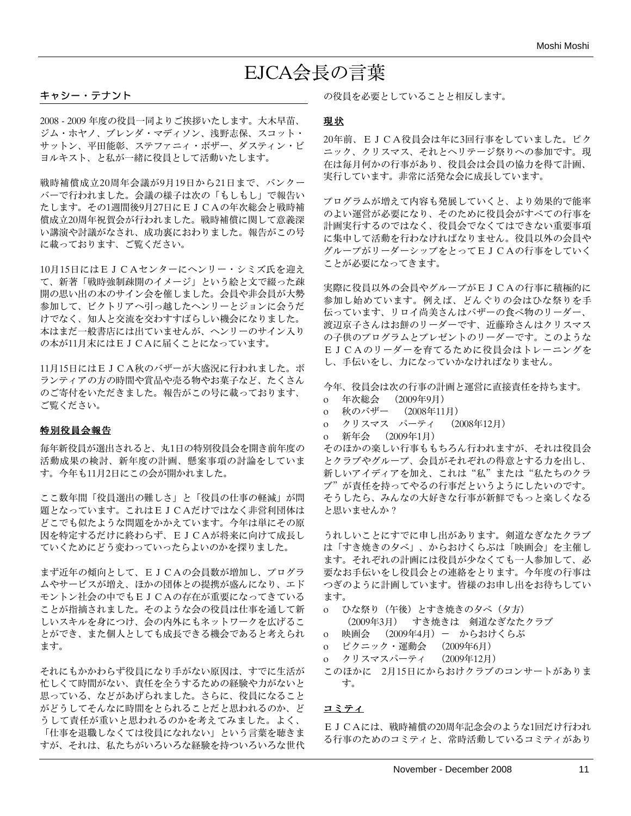# EJCA会長の言葉

#### キャシー・テナント

2008 - 2009 年度の役員一同よりご挨拶いたします。大木早苗、 ジム・ホヤノ、ブレンダ・マディソン、浅野志保、スコット・ サットン、平田能彰、ステファニィ・ボザー、ダスティン・ビ ヨルキスト、と私が一緒に役員として活動いたします。

戦時補償成立20周年会議が9月19日から21日まで、バンクー バーで行われました。会議の様子は次の「もしもし」で報告い たします。その1週間後9月27日にEJCAの年次総会と戦時補 償成立20周年祝賀会が行われました。戦時補償に関して意義深 い講演や討議がなされ、成功裏におわりました。報告がこの号 に載っております、ご覧ください。

10月15日にはEJCAセンターにヘンリー・シミズ氏を迎え て、新著「戦時強制疎開のイメージ」という絵と文で綴った疎 開の思い出の本のサイン会を催しました。会員や非会員が大勢 参加して、ビクトリアへ引っ越したヘンリーとジョンに会うだ けでなく、知人と交流を交わすすばらしい機会になりました。 本はまだ一般書店には出ていませんが、ヘンリーのサイン入り の本が11月末にはEJCAに届くことになっています。

11月15日にはEJCA秋のバザーが大盛況に行われました。ボ ランティアの方の時間や賞品や売る物やお菓子など、たくさん のご寄付をいただきました。報告がこの号に載っております、 ご覧ください。

#### 特別役員会報告

毎年新役員が選出されると、丸1日の特別役員会を開き前年度の 活動成果の検討、新年度の計画、懸案事項の討論をしていま す。今年も11月2日にこの会が開かれました。

ここ数年間「役員選出の難しさ」と「役員の仕事の軽減」が問 題となっています。これはEJCAだけではなく非営利団体は どこでも似たような問題をかかえています。今年は単にその原 因を特定するだけに終わらず、EJCAが将来に向けて成長し ていくためにどう変わっていったらよいのかを探りました。

まず近年の傾向として、EJCAの会員数が増加し、プログラ ムやサービスが増え、ほかの団体との提携が盛んになり、エド モントン社会の中でもEJCAの存在が重要になってきている ことが指摘されました。そのような会の役員は仕事を通して新 しいスキルを身につけ、会の内外にもネットワークを広げるこ とができ、また個人としても成長できる機会であると考えられ ます。

それにもかかわらず役員になり手がない原因は、すでに生活が 忙しくて時間がない、責任を全うするための経験や力がないと 思っている、などがあげられました。さらに、役員になること がどうしてそんなに時間をとられることだと思われるのか、ど うして責任が重いと思われるのかを考えてみました。よく、 「仕事を退職しなくては役員になれない」という言葉を聴きま すが、それは、私たちがいろいろな経験を持ついろいろな世代 の役員を必要としていることと相反します。

#### 現状

20年前、EJCA役員会は年に3回行事をしていました。ピク ニック、クリスマス、それとヘリテージ祭りへの参加です。現 在は毎月何かの行事があり、役員会は会員の協力を得て計画、 実行しています。非常に活発な会に成長しています。

プログラムが増えて内容も発展していくと、より効果的で能率 のよい運営が必要になり、そのために役員会がすべての行事を 計画実行するのではなく、役員会でなくてはできない重要事項 に集中して活動を行わなければなりません。役員以外の会員や グループがリーダーシップをとってEJCAの行事をしていく ことが必要になってきます。

実際に役員以外の会員やグループがEJCAの行事に積極的に 参加し始めています。例えば、どんぐりの会はひな祭りを手 伝っています、リロイ尚美さんはバザーの食べ物のリーダー、 渡辺京子さんはお餅のリーダーです、近藤玲さんはクリスマス の子供のプログラムとプレゼントのリーダーです。このような EJCAのリーダーを育てるために役員会はトレーニングを し、手伝いをし、力になっていかなければなりません。

今年、役員会は次の行事の計画と運営に直接責任を持ちます。

- o 年次総会 (2009年9月)
- o 秋のバザー (2008年11月)
- o クリスマス パーティ (2008年12月)
- o 新年会 (2009年1月)

そのほかの楽しい行事ももちろん行われますが、それは役員会 とクラブやグループ、会員がそれぞれの得意とする力を出し、 新しいアイディアを加え、これは"私"または"私たちのクラ ブ"が責任を持ってやるの行事だというようにしたいのです。 そうしたら、みんなの大好きな行事が新鮮でもっと楽しくなる と思いませんか?

うれしいことにすでに申し出があります。剣道なぎなたクラブ は「すき焼きの夕べ」、からおけくらぶは「映画会」を主催し ます。それぞれの計画には役員が少なくても一人参加して、必 要なお手伝いをし役員会との連絡をとります。今年度の行事は つぎのように計画しています。皆様のお申し出をお待ちしてい ます。

- o ひな祭り(午後)とすき焼きの夕べ(夕方) (2009年3月) すき焼きは 剣道なぎなたクラブ
- o 映画会 (2009年4月)- からおけくらぶ
- o ピクニック・運動会 (2009年6月)
- o クリスマスパーティ (2009年12月)
- このほかに 2月15日にからおけクラブのコンサートがありま

#### コミティ

す。

EJCAには、戦時補償の20周年記念会のような1回だけ行われ る行事のためのコミティと、常時活動しているコミティがあり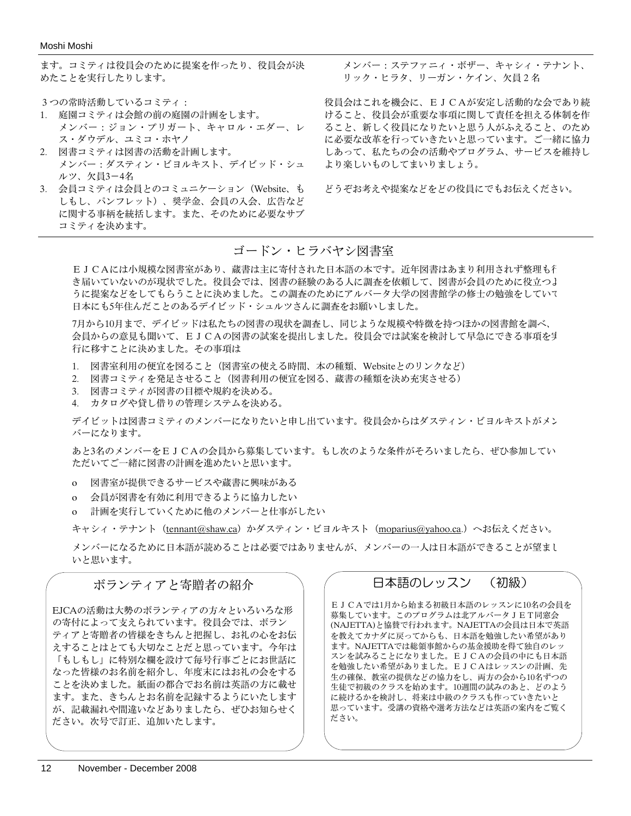ます。コミティは役員会のために提案を作ったり、役員会が決 めたことを実行したりします。

- 3つの常時活動しているコミティ:
- 1. 庭園コミティは会館の前の庭園の計画をします。 メンバー:ジョン・プリガート、キャロル・エダー、レ ス・ダウデル、ユミコ・ホヤノ
- 2. 図書コミティは図書の活動を計画します。 メンバー:ダスティン・ビヨルキスト、デイビッド・シュ ルツ、欠員3-4名
- 3. 会員コミティは会員とのコミュニケーション(Website、も しもし、パンフレット)、奨学金、会員の入会、広告など に関する事柄を統括します。また、そのために必要なサブ コミティを決めます。

メンバー:ステファニィ・ボザー、キャシィ・テナント、 リック・ヒラタ、リーガン・ケイン、欠員2名

役員会はこれを機会に、EJCAが安定し活動的な会であり続 けること、役員会が重要な事項に関して責任を担える体制を作 ること、新しく役員になりたいと思う人がふえること、のため に必要な改革を行っていきたいと思っています。ご一緒に協力 しあって、私たちの会の活動やプログラム、サービスを維持し より楽しいものしてまいりましょう。

どうぞお考えや提案などをどの役員にでもお伝えください。

#### ゴードン・ヒラバヤシ図書室

EJCAには小規模な図書室があり、蔵書は主に寄付された日本語の本です。近年図書はあまり利用されず整理も行 き届いていないのが現状でした。役員会では、図書の経験のある人に調査を依頼して、図書が会員のために役立つよ うに提案などをしてもらうことに決めました。この調査のためにアルバータ大学の図書館学の修士の勉強をしていて 日本にも5年住んだことのあるデイビッド・シュルツさんに調査をお願いしました。

7月から10月まで、デイビッドは私たちの図書の現状を調査し、同じような規模や特徴を持つほかの図書館を調べ、 会員からの意見も聞いて、EJCAの図書の試案を提出しました。役員会では試案を検討して早急にできる事項を実 行に移すことに決めました。その事項は

- 1. 図書室利用の便宜を図ること(図書室の使える時間、本の種類、Websiteとのリンクなど)
- 2. 図書コミティを発足させること(図書利用の便宜を図る、蔵書の種類を決め充実させる)
- 3. 図書コミティが図書の目標や規約を決める。
- 4. カタログや貸し借りの管理システムを決める。

デイビットは図書コミティのメンバーになりたいと申し出ています。役員会からはダスティン・ビヨルキストがメン バーになります。

あと3名のメンバーをEJCAの会員から募集しています。もし次のような条件がそろいましたら、ぜひ参加してい ただいてご一緒に図書の計画を進めたいと思います。

ο 図書室が提供できるサービスや蔵書に興味がある

- ο 会員が図書を有効に利用できるように協力したい
- ο 計画を実行していくために他のメンバーと仕事がしたい

キャシィ・テナント (tennant@shaw.ca)かダスティン・ビヨルキスト (moparius@yahoo.ca.)へお伝えください。

メンバーになるために日本語が読めることは必要ではありませんが、メンバーの一人は日本語ができることが望まし いと思います。

## ボランティアと寄贈者の紹介

EJCAの活動は大勢のボランティアの方々といろいろな形 の寄付によって支えられています。役員会では、ボラン ティアと寄贈者の皆様をきちんと把握し、お礼の心をお伝 えすることはとても大切なことだと思っています。今年は 「もしもし」に特別な欄を設けて毎号行事ごとにお世話に なった皆様のお名前を紹介し、年度末にはお礼の会をする ことを決めました。紙面の都合でお名前は英語の方に載せ ます。また、きちんとお名前を記録するようにいたします が、記載漏れや間違いなどありましたら、ぜひお知らせく ださい。次号で訂正、追加いたします。

# 日本語のレッスン (初級)

EJCAでは1月から始まる初級日本語のレッスンに10名の会員を 募集しています。このプログラムは北アルバータJET同窓会 (NAJETTA)と協賛で行われます。NAJETTAの会員は日本で英語 を教えてカナダに戻ってからも、日本語を勉強したい希望があり ます。NAJETTAでは総領事館からの基金援助を得て独自のレッ スンを試みることになりました。EJCAの会員の中にも日本語 を勉強したい希望がありました。EJCAはレッスンの計画、先 生の確保、教室の提供などの協力をし、両方の会から10名ずつの 生徒で初級のクラスを始めます。10週間の試みのあと、どのよう に続けるかを検討し、将来は中級のクラスも作っていきたいと 思っています。受講の資格や選考方法などは英語の案内をご覧く ださい。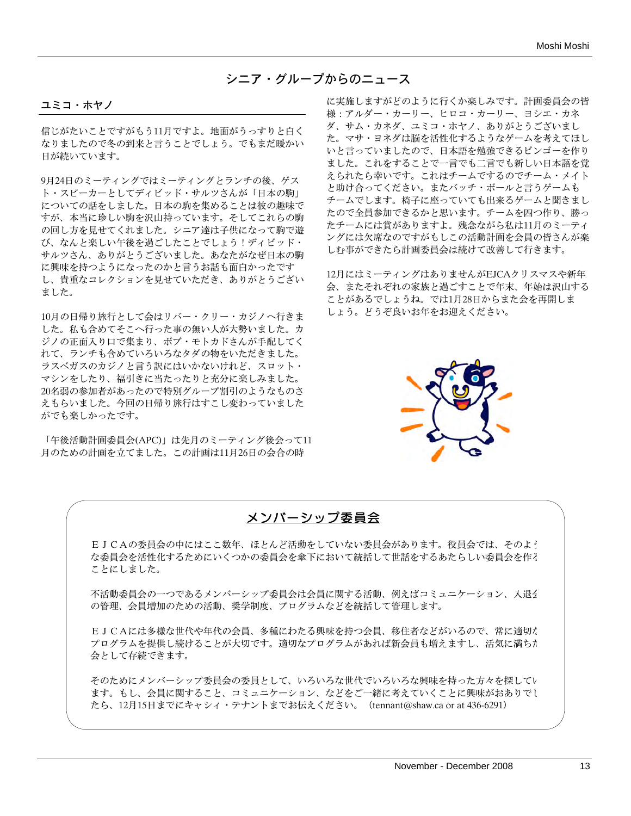## シニア・グループからのニュース

#### ユミコ・ホヤノ

信じがたいことですがもう11月ですよ。地面がうっすりと白く なりましたので冬の到来と言うことでしょう。でもまだ暖かい 日が続いています。

9月24日のミーティングではミーティングとランチの後、ゲス ト・スピーカーとしてディビッド・サルツさんが「日本の駒」 についての話をしました。日本の駒を集めることは彼の趣味で すが、本当に珍しい駒を沢山持っています。そしてこれらの駒 の回し方を見せてくれました。シニア達は子供になって駒で遊 び、なんと楽しい午後を過ごしたことでしょう!ディビッド・ サルツさん、ありがとうございました。あなたがなぜ日本の駒 に興味を持つようになったのかと言うお話も面白かったです し、貴重なコレクションを見せていただき、ありがとうござい ました。

10月の日帰り旅行として会はリバー・クリー・カジノへ行きま した。私も含めてそこへ行った事の無い人が大勢いました。カ ジノの正面入り口で集まり、ボブ・モトカドさんが手配してく れて、ランチも含めていろいろなタダの物をいただきました。 ラスベガスのカジノと言う訳にはいかないけれど、スロット・ マシンをしたり、福引きに当たったりと充分に楽しみました。 20名弱の参加者があったので特別グループ割引のようなものさ えもらいました。今回の日帰り旅行はすこし変わっていました がでも楽しかったです。

「午後活動計画委員会(APC)」は先月のミーティング後会って11 月のための計画を立てました。この計画は11月26日の会合の時

に実施しますがどのように行くか楽しみです。計画委員会の皆 様:アルダー・カーリー、ヒロコ・カーリー、ヨシエ・カネ ダ、サム・カネダ、ユミコ・ホヤノ、ありがとうございまし た。マサ・ヨネダは脳を活性化するようなゲームを考えてほし いと言っていましたので、日本語を勉強できるビンゴーを作り ました。これをすることで一言でも二言でも新しい日本語を覚 えられたら幸いです。これはチームでするのでチーム・メイト と助け合ってください。またバッチ・ボールと言うゲームも チームでします。椅子に座っていても出来るゲームと聞きまし たので全員参加できるかと思います。チームを四つ作り、勝っ たチームには賞がありますよ。残念ながら私は11月のミーティ ングには欠席なのですがもしこの活動計画を会員の皆さんが楽 しむ事ができたら計画委員会は続けて改善して行きます。

12月にはミーティングはありませんがEJCAクリスマスや新年 会、またそれぞれの家族と過ごすことで年末、年始は沢山する ことがあるでしょうね。では1月28日からまた会を再開しま しょう。どうぞ良いお年をお迎えください。



## メンバーシップ委員会

EJCAの委員会の中にはここ数年、ほとんど活動をしていない委員会があります。役員会では、そのよう な委員会を活性化するためにいくつかの委員会を傘下において統括して世話をするあたらしい委員会を作る ことにしました。

不活動委員会の一つであるメンバーシップ委員会は会員に関する活動、例えばコミュニケーション、入退会 の管理、会員増加のための活動、奨学制度、プログラムなどを統括して管理します。

EJCAには多様な世代や年代の会員、多種にわたる興味を持つ会員、移住者などがいるので、常に適切な プログラムを提供し続けることが大切です。適切なプログラムがあれば新会員も増えますし、活気に満ちた 会として存続できます。

そのためにメンバーシップ委員会の委員として、いろいろな世代でいろいろな興味を持った方々を探してい ます。もし、会員に関すること、コミュニケーション、などをご一緒に考えていくことに興味がおありでし たら、12月15日までにキャシィ・テナントまでお伝えください。(tennant@shaw.ca or at 436-6291)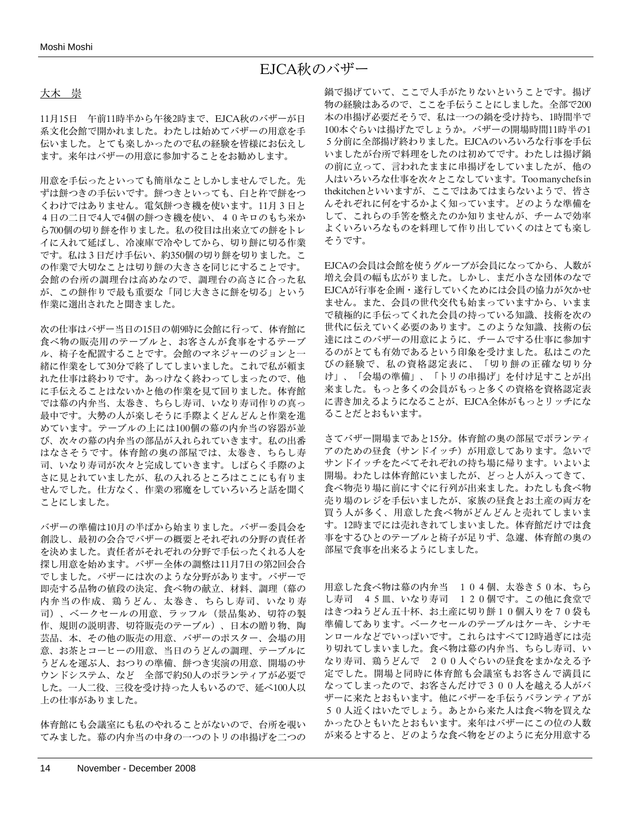# EJCA秋のバザー

#### 大木 崇

11月15日 午前11時半から午後2時まで、EJCA秋のバザーが日 系文化会館で開かれました。わたしは始めてバザーの用意を手 伝いました。とても楽しかったので私の経験を皆様にお伝えし ます。来年はバザーの用意に参加することをお勧めします。

用意を手伝ったといっても簡単なことしかしませんでした。先 ずは餅つきの手伝いです。餅つきといっても、臼と杵で餅をつ くわけではありません。電気餅つき機を使います。11月3日と 4日の二日で4人で4個の餅つき機を使い、40キロのもち米か ら700個の切り餅を作りました。私の役目は出来立ての餅をトレ イに入れて延ばし、冷凍庫で冷やしてから、切り餅に切る作業 です。私は3日だけ手伝い、約350個の切り餅を切りました。こ の作業で大切なことは切り餅の大きさを同じにすることです。 会館の台所の調理台は高めなので、調理台の高さに合った私 が、この餅作りで最も重要な「同じ大きさに餅を切る」という 作業に選出されたと聞きました。

次の仕事はバザー当日の15日の朝9時に会館に行って、体育館に 食べ物の販売用のテーブルと、お客さんが食事をするテーブ ル、椅子を配置することです。会館のマネジャーのジョンと一 緒に作業をして30分で終了してしまいました。これで私が頼ま れた仕事は終わりです。あっけなく終わってしまったので、他 に手伝えることはないかと他の作業を見て回りました。体育館 では幕の内弁当、太巻き、ちらし寿司、いなり寿司作りの真っ 最中です。大勢の人が楽しそうに手際よくどんどんと作業を進 めています。テーブルの上には100個の幕の内弁当の容器が並 び、次々の幕の内弁当の部品が入れられていきます。私の出番 はなさそうです。体育館の奥の部屋では、太巻き、ちらし寿 司、いなり寿司が次々と完成していきます。しばらく手際のよ さに見とれていましたが、私の入れるところはここにも有りま せんでした。仕方なく、作業の邪魔をしていろいろと話を聞く ことにしました。

バザーの準備は10月の半ばから始まりました。バザー委員会を 創設し、最初の会合でバザーの概要とそれぞれの分野の責任者 を決めました。責任者がそれぞれの分野で手伝ったくれる人を 探し用意を始めます。バザー全体の調整は11月7日の第2回会合 でしました。バザーには次のような分野があります。バザーで 即売する品物の値段の決定、食べ物の献立、材料、調理(幕の 内弁当の作成、鶏うどん、太巻き、ちらし寿司、いなり寿 司)、ベークセールの用意、ラッフル(景品集め、切符の製 作、規則の説明書、切符販売のテーブル)、日本の贈り物、陶 芸品、本、その他の販売の用意、バザーのポスター、会場の用 意、お茶とコーヒーの用意、当日のうどんの調理、テーブルに うどんを運ぶ人、おつりの準備、餅つき実演の用意、開場のサ ウンドシステム、など 全部で約50人のボランティアが必要で した。一人二役、三役を受け持った人もいるので、延べ100人以 上の仕事がありました。

体育館にも会議室にも私のやれることがないので、台所を覗い てみました。幕の内弁当の中身の一つのトリの串揚げを二つの 鍋で揚げていて、ここで人手がたりないということです。揚げ 物の経験はあるので、ここを手伝うことにしました。全部で200 本の串揚げ必要だそうで、私は一つの鍋を受け持ち、1時間半で 100本ぐらいは揚げたでしょうか。バザーの開場時間11時半の1 5分前に全部揚げ終わりました。EJCAのいろいろな行事を手伝 いましたが台所で料理をしたのは初めてです。わたしは揚げ鍋 の前に立って、言われたままに串揚げをしていましたが、他の 人はいろいろな仕事を次々とこなしています。Toomanychefsin thekitchenといいますが、ここではあてはまらないようで、皆さ んそれぞれに何をするかよく知っています。どのような準備を して、これらの手筈を整えたのか知りませんが、チームで効率 よくいろいろなものを料理して作り出していくのはとても楽し そうです。

EJCAの会員は会館を使うグループが会員になってから、人数が 増え会員の幅も広がりました。しかし、まだ小さな団体のなで EJCAが行事を企画・遂行していくためには会員の協力が欠かせ ません。また、会員の世代交代も始まっていますから、いまま で積極的に手伝ってくれた会員の持っている知識、技術を次の 世代に伝えていく必要のあります。このような知識、技術の伝 達にはこのバザーの用意にように、チームでする仕事に参加す るのがとても有効であるという印象を受けました。私はこのた びの経験で、私の資格認定表に、「切り餅の正確な切り分 け」、「会場の準備」、「トリの串揚げ」を付け足すことが出 来ました。もっと多くの会員がもっと多くの資格を資格認定表 に書き加えるようになることが、EJCA全体がもっとリッチにな ることだとおもいます。

さてバザー開場まであと15分。体育館の奥の部屋でボランティ アのための昼食(サンドイッチ)が用意してあります。急いで サンドイッチをたべてそれぞれの持ち場に帰ります。いよいよ 開場。わたしは体育館にいましたが、どっと人が入ってきて、 食べ物売り場に前にすぐに行列が出来ました。わたしも食べ物 売り場のレジを手伝いましたが、家族の昼食とお土産の両方を 買う人が多く、用意した食べ物がどんどんと売れてしまいま す。12時までには売れきれてしまいました。体育館だけでは食 事をするひとのテーブルと椅子が足りず、急遽、体育館の奥の 部屋で食事を出来るようにしました。

用意した食べ物は幕の内弁当 104個、太巻き50本、ちら し寿司 45皿、いなり寿司 120個です。この他に食堂で はきつねうどん五十杯、お土産に切り餅10個入りを70袋も 準備してあります。ベークセールのテーブルはケーキ、シナモ ンロールなどでいっぱいです。これらはすべて12時過ぎには売 り切れてしまいました。食べ物は幕の内弁当、ちらし寿司、い なり寿司、鶏うどんで 200人ぐらいの昼食をまかなえる予 定でした。開場と同時に体育館も会議室もお客さんで満員に なってしまったので、お客さんだけで300人を越える人がバ ザーに来たとおもいます。他にバザーを手伝うバランティアが 50人近くはいたでしょう。あとから来た人は食べ物を買えな かったひともいたとおもいます。来年はバザーにこの位の人数 が来るとすると、どのような食べ物をどのように充分用意する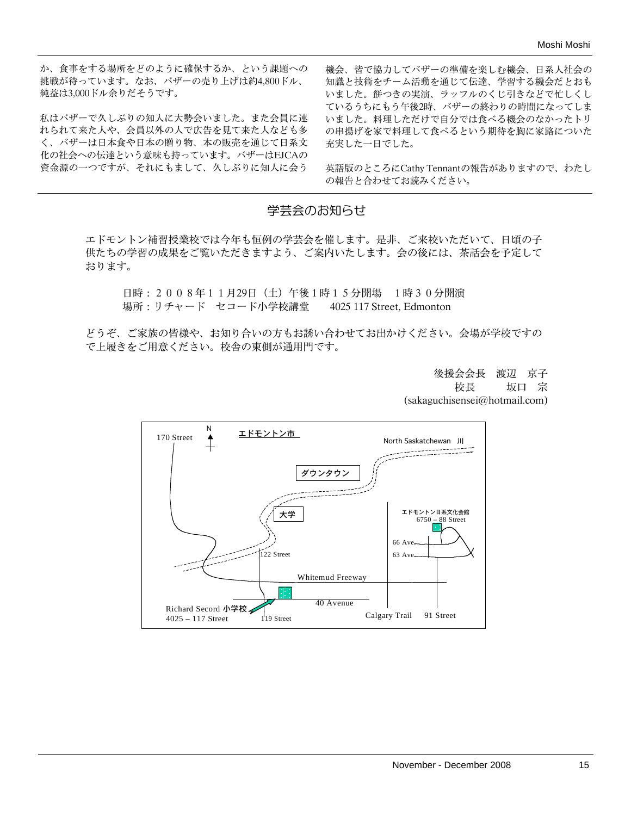か、食事をする場所をどのように確保するか、という課題への 挑戦が待っています。なお、バザーの売り上げは約4,800ドル、 純益は3,000ドル余りだそうです。

私はバザーで久しぶりの知人に大勢会いました。また会員に連 れられて来た人や、会員以外の人で広告を見て来た人なども多 く、バザーは日本食や日本の贈り物、本の販売を通じて日系文 化の社会への伝達という意味も持っています。バザーはEJCAの 資金源の一つですが、それにもまして、久しぶりに知人に会う

機会、皆で協力してバザーの準備を楽しむ機会、日系人社会の 知識と技術をチーム活動を通じて伝達、学習する機会だとおも いました。餅つきの実演、ラッフルのくじ引きなどで忙しくし ているうちにもう午後2時、バザーの終わりの時間になってしま いました。料理しただけで自分では食べる機会のなかったトリ の串揚げを家で料理して食べるという期待を胸に家路についた 充実した一日でした。

英語版のところにCathy Tennantの報告がありますので、わたし の報告と合わせてお読みください。

## 学芸会のお知らせ

エドモントン補習授業校では今年も恒例の学芸会を催します。是非、ご来校いただいて、日頃の子 供たちの学習の成果をご覧いただきますよう、ご案内いたします。会の後には、茶話会を予定して おります。

日時:2008年11月29日(土)午後1時15分開場 1時30分開演 場所:リチャード セコード小学校講堂 4025 117 Street, Edmonton

どうぞ、ご家族の皆様や、お知り合いの方もお誘い合わせてお出かけください。会場が学校ですの で上履きをご用意ください。校舎の東側が通用門です。

> 後援会会長 渡辺 京子 校長 坂口 宗 (sakaguchisensei@hotmail.com)

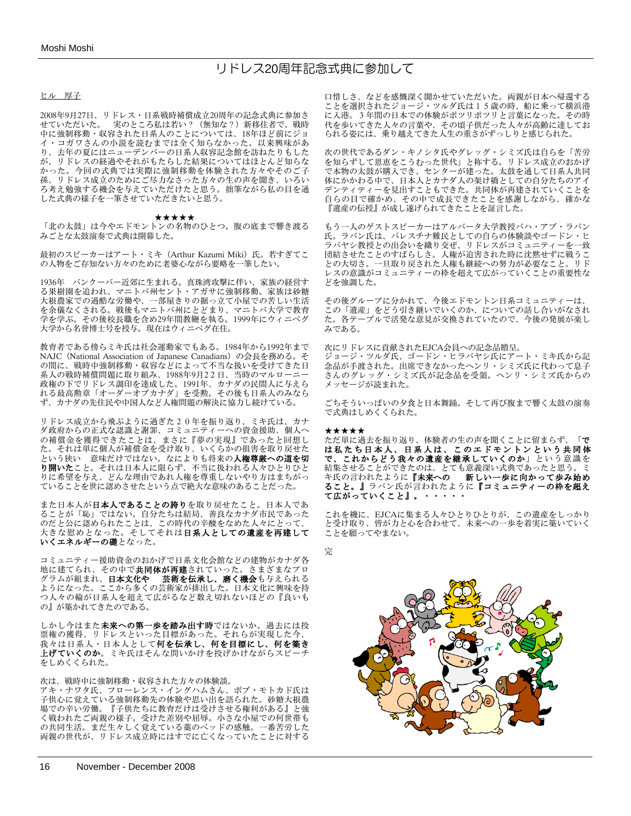## リドレス20周年記念式典に参加して

#### ヒル 厚子

2008年9月27日、リドレス・日系戦時補償成立20周年の記念式典に参加さ せていただいた。 実のところ私は若い?(無知な?)新移住者で、戦時 中に強制移動・収容された日系人のことについては、18年ほど前にジョ イ・コガワさんの小説を読むまでは全く知らなかった。以来興味があ り、去年の夏にはニューデンバーの日系人収容記念館を訪ねたりもした が、リドレスの経過やそれがもたらした結果についてはほとんど知らな かった。今回の式典では実際に強制移動を体験された方々やそのご子 孫、リドレス成立のためにご尽力なさった方々の生の声を聞き、いろい ろ考え勉強する機会を与えていただけたと思う。拙筆ながら私の目を通 した式典の様子を一筆させていただきたいと思う。

#### ★★★★★

「北の太鼓」は今やエドモントンの名物のひとつ。腹の底まで響き渡る みごとな太鼓演奏で式典は開幕した。

最初のスピーカーはアート・ミキ (Arthur Kazumi Miki)氏。若すぎてこ の人物をご存知ない方々のために老婆心ながら要略を一筆したい。

1936年 バンクーバー近郊に生まれる。真珠湾攻撃に伴い、家族の経営す る果樹園を追われ、マニトバ州セント・アガサに強制移動。家族は砂糖 大根農家での過酷な労働や、一部屋きりの掘っ立て小屋での苦しい生活 を余儀なくされる。戦後もマニトバ州にとどまり、マニトバ大学で教育 学を学ぶ。その後校長職を含め29年間教鞭を執る。1999年にウィニペグ 大学から名誉博士号を授与。現在はウィニペグ在住。

教育者である傍らミキ氏は社会運動家でもある。1984年から1992年まで NAJC (National Association of Japanese Canadians) の会長を務める。そ の間に、戦時中強制移動・収容などによって不当な扱いを受けてきた日 系人の戦時補償問題に取り組み、1988年9月22日、当時のマルローニー 政権の下でリドレス調印を達成した。1991年、カナダの民間人に与えら れる最高勲章「オーダーオブカナダ」を受勲。その後も日系人のみなら ず、カナダの先住民や中国人など人権問題の解決に協力し続けている。

リドレス成立から飛ぶように過ぎた20年を振り返り、ミキ氏は、カナ ダ政府からの正式な認識と謝罪、コミュニティーへの資金援助、個人へ の補償金を獲得できたことは、まさに『夢の実現』であったと回想し た。それは単に個人が補償金を受け取り、いくらかの損害を取り戻せた という狭い 意味だけではない。なによりも将来の**人権尊厳への道を切** り開いたこと。それは日本人に限らず、不当に扱われる人々ひとりひと りに希望を与え、どんな理由であれ人権を尊重しないやり方はまちがっ ていることを世に認めさせたという点で絶大な意味のあることだった。

また日本人が日本人であることの誇りを取り戻せたこと。日本人であ ることが「恥」ではない。自分たちは結局、善良なカナダ市民であった のだと公に認められたことは、この時代の辛酸をなめた人々にとって、 大きな慰めとなった。そしてそれは**日系人としての遺産を再建して いくエネルギーの礎**となった。

コミュニティー援助資金のおかげで日系文化会館などの建物がカナダ各 地に建てられ、その中で**共同体が再建**されていった。さまざまなプロ グラムが組まれ、日本文化や 芸術を伝承し、磨く機会も与えられる ようになった。ここから多くの芸術家が排出した。日本文化に興味を持 つ人々の輪が日系人を超えて広がるなど数え切れないほどの『良いも の』が築かれてきたのである。

しかし今はまた**未来への第一歩を踏み出す時**ではないか。過去には投 票権の獲得、リドレスといった目標があった。それらが実現した今、 我々は日系人・日本人として何を伝承し、何を目標にし、何を築き 上げていくのか。ミキ氏はそんな問いかけを投げかけながらスピーチ をしめくくられた。

#### 次は、戦時中に強制移動・収容された方々の体験談。

アキ・ナワタ氏、フローレンス・イングハムさん、ボブ・モトカド氏は 子供心に覚えている強制移動先の体験や思い出を語られた。砂糖大根農 場での辛い労働。『子供たちに教育だけは受けさせる権利がある』と強 く戦われたご両親の様子。受けた差別や屈辱。小さな小屋での何世帯も の共同生活。まだ生々しく覚えている藁のベッドの感触。一番苦労した 両親の世代が、リドレス成立時にはすでに亡くなっていたことに対する 口惜しさ、などを感慨深く聞かせていただいた。両親が日本へ帰還する ことを選択されたジョージ・ツルダ氏は15歳の時、船に乗って横浜港 に入港。3年間の日本での体験がポツリポツリと言葉になった。その時 代を歩いてきた人々の言葉や、その頃子供だった人々が高齢に達してお られる姿には、乗り越えてきた人生の重さがずっしりと感じられた。

次の世代であるダン・キノシタ氏やグレッグ・シミズ氏は自らを「苦労 を知らずして恩恵をこうむった世代」と称する。リドレス成立のおかげ で本物の太鼓が購入でき、センターが建った。太鼓を通して日系人共同 体にかかわる中で、日本人とカナダ人の架け橋としての自分たちのアイ デンティティーを見出すこともできた。共同体が再建されていくことを 自らの目で確かめ、その中で成長できたことを感謝しながら、確かな 『遺産の伝授』が成し遂げられてきたことを証言した。

もう一人のゲストスピーカーはアルバータ大学教授バハ・アブ・ラバン 氏。ラバン氏は、パレスチナ難民としての自らの体験談やゴードン・ヒ ラバヤシ教授との出会いを織り交ぜ、リドレスがコミュニティーを一致 団結させたことのすばらしさ。人権が迫害された時に沈黙せずに戦うこ との大切さ。一旦取り戻された人権も継続への努力が必要なこと。リド レスの意識がコミュニティーの枠を超えて広がっていくことの重要性な どを強調した。

その後グループに分かれて、今後エドモントン日系コミュニティーは、 この「遺産」をどう引き継いでいくのか、についての話し合いがなされ た。各テーブルで活発な意見が交換されていたので、今後の発展が楽し みである。

次にリドレスに貢献されたEJCA会員への記念品贈呈。 ジョージ・ツルダ氏、ゴードン・ヒラバヤシ氏にアート・ミキ氏から記 念品が手渡された。出席できなかったヘンリ・シミズ氏に代わって息子

さんのグレッグ・シミズ氏が記念品を受領。ヘンリ・シミズ氏からの メッセージが読まれた。

ごちそういっぱいの夕食と日本舞踊。そして再び腹まで響く太鼓の演奏 で式典はしめくくられた。

#### ★★★★★

ただ単に過去を振り返り、体験者の生の声を聞くことに留まらず、「で は私たち日本人、日系人は、このエドモントンという共同体 で、これからどう我々の遺産を継承していくのか」という意識を 結集させることができたのは、とても意義深い式典であったと思う。ミ キ氏の言われたように『未来への 新しい一歩に向かって歩み始め ること。』ラバン氏が言われたように『コミュニティーの枠を超え て広がっていくこと』。・・・・・

これを機に、EJCAに集まる人々ひとりひとりが、この遺産をしっかり と受け取り、皆が力と心を合わせて、未来への一歩を着実に築いていく ことを願ってやまない。

完

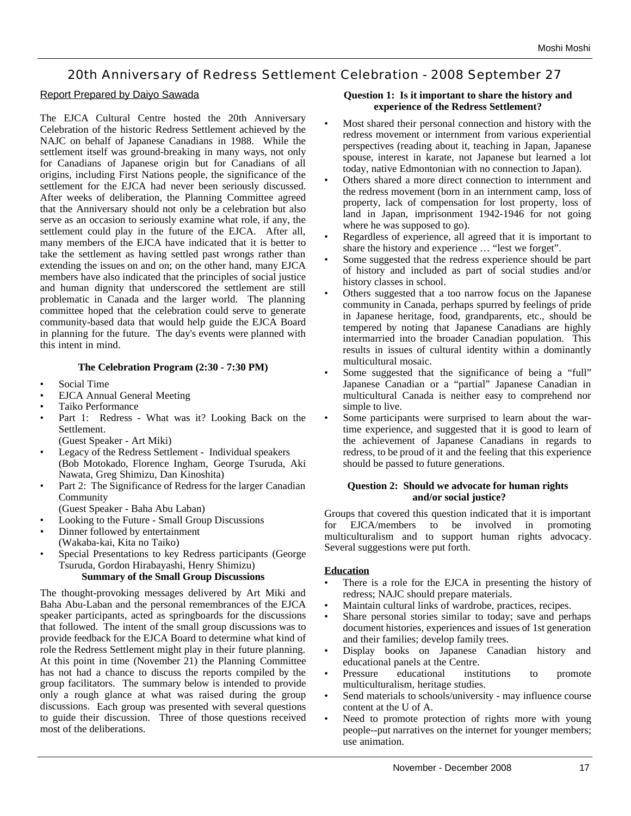# 20th Anniversary of Redress Settlement Celebration - 2008 September 27

#### Report Prepared by Daiyo Sawada

The EJCA Cultural Centre hosted the 20th Anniversary Celebration of the historic Redress Settlement achieved by the NAJC on behalf of Japanese Canadians in 1988. While the settlement itself was ground-breaking in many ways, not only for Canadians of Japanese origin but for Canadians of all origins, including First Nations people, the significance of the settlement for the EJCA had never been seriously discussed. After weeks of deliberation, the Planning Committee agreed that the Anniversary should not only be a celebration but also serve as an occasion to seriously examine what role, if any, the settlement could play in the future of the EJCA. After all, many members of the EJCA have indicated that it is better to take the settlement as having settled past wrongs rather than extending the issues on and on; on the other hand, many EJCA members have also indicated that the principles of social justice and human dignity that underscored the settlement are still problematic in Canada and the larger world. The planning committee hoped that the celebration could serve to generate community-based data that would help guide the EJCA Board in planning for the future. The day's events were planned with this intent in mind.

#### **The Celebration Program (2:30 - 7:30 PM)**

- Social Time
- EJCA Annual General Meeting
- Taiko Performance
- Part 1: Redress What was it? Looking Back on the Settlement.
- (Guest Speaker Art Miki)
- Legacy of the Redress Settlement Individual speakers (Bob Motokado, Florence Ingham, George Tsuruda, Aki Nawata, Greg Shimizu, Dan Kinoshita)
- Part 2: The Significance of Redress for the larger Canadian Community

(Guest Speaker - Baha Abu Laban)

- Looking to the Future Small Group Discussions
- Dinner followed by entertainment
- (Wakaba-kai, Kita no Taiko)
- Special Presentations to key Redress participants (George Tsuruda, Gordon Hirabayashi, Henry Shimizu) **Summary of the Small Group Discussions**

The thought-provoking messages delivered by Art Miki and Baha Abu-Laban and the personal remembrances of the EJCA speaker participants, acted as springboards for the discussions that followed. The intent of the small group discussions was to provide feedback for the EJCA Board to determine what kind of role the Redress Settlement might play in their future planning. At this point in time (November 21) the Planning Committee has not had a chance to discuss the reports compiled by the group facilitators. The summary below is intended to provide only a rough glance at what was raised during the group discussions. Each group was presented with several questions to guide their discussion. Three of those questions received most of the deliberations.

#### **Question 1: Is it important to share the history and experience of the Redress Settlement?**

- Most shared their personal connection and history with the redress movement or internment from various experiential perspectives (reading about it, teaching in Japan, Japanese spouse, interest in karate, not Japanese but learned a lot today, native Edmontonian with no connection to Japan).
- Others shared a more direct connection to internment and the redress movement (born in an internment camp, loss of property, lack of compensation for lost property, loss of land in Japan, imprisonment 1942-1946 for not going where he was supposed to go).
- Regardless of experience, all agreed that it is important to share the history and experience … "lest we forget".
- Some suggested that the redress experience should be part of history and included as part of social studies and/or history classes in school.
- Others suggested that a too narrow focus on the Japanese community in Canada, perhaps spurred by feelings of pride in Japanese heritage, food, grandparents, etc., should be tempered by noting that Japanese Canadians are highly intermarried into the broader Canadian population. This results in issues of cultural identity within a dominantly multicultural mosaic.
- Some suggested that the significance of being a "full" Japanese Canadian or a "partial" Japanese Canadian in multicultural Canada is neither easy to comprehend nor simple to live.
- Some participants were surprised to learn about the wartime experience, and suggested that it is good to learn of the achievement of Japanese Canadians in regards to redress, to be proud of it and the feeling that this experience should be passed to future generations.

#### **Question 2: Should we advocate for human rights and/or social justice?**

Groups that covered this question indicated that it is important for EJCA/members to be involved in promoting multiculturalism and to support human rights advocacy. Several suggestions were put forth.

#### **Education**

- There is a role for the EJCA in presenting the history of redress; NAJC should prepare materials.
- Maintain cultural links of wardrobe, practices, recipes.
- Share personal stories similar to today; save and perhaps document histories, experiences and issues of 1st generation and their families; develop family trees.
- Display books on Japanese Canadian history and educational panels at the Centre.
- Pressure educational institutions to promote multiculturalism, heritage studies.
- Send materials to schools/university may influence course content at the U of A.
- Need to promote protection of rights more with young people--put narratives on the internet for younger members; use animation.